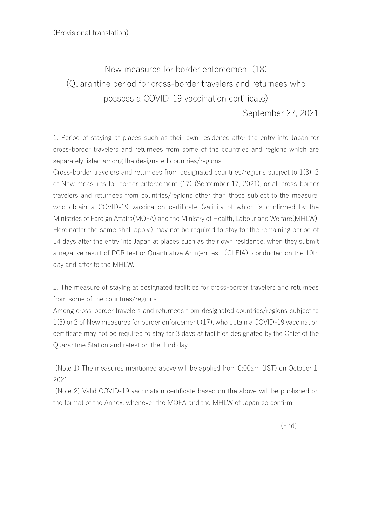New measures for border enforcement (18) (Quarantine period for cross-border travelers and returnees who possess a COVID-19 vaccination certificate)

September 27, 2021

1. Period of staying at places such as their own residence after the entry into Japan for cross-border travelers and returnees from some of the countries and regions which are separately listed among the designated countries/regions

Cross-border travelers and returnees from designated countries/regions subject to 1(3), 2 of New measures for border enforcement (17) (September 17, 2021), or all cross-border travelers and returnees from countries/regions other than those subject to the measure, who obtain a COVID-19 vaccination certificate (validity of which is confirmed by the Ministries of Foreign Affairs(MOFA) and the Ministry of Health, Labour and Welfare(MHLW). Hereinafter the same shall apply.) may not be required to stay for the remaining period of 14 days after the entry into Japan at places such as their own residence, when they submit a negative result of PCR test or Quantitative Antigen test (CLEIA) conducted on the 10th day and after to the MHLW.

2. The measure of staying at designated facilities for cross-border travelers and returnees from some of the countries/regions

Among cross-border travelers and returnees from designated countries/regions subject to 1(3) or 2 of New measures for border enforcement (17), who obtain a COVID-19 vaccination certificate may not be required to stay for 3 days at facilities designated by the Chief of the Quarantine Station and retest on the third day.

(Note 1) The measures mentioned above will be applied from 0:00am (JST) on October 1, 2021.

(Note 2) Valid COVID-19 vaccination certificate based on the above will be published on the format of the Annex, whenever the MOFA and the MHLW of Japan so confirm.

(End)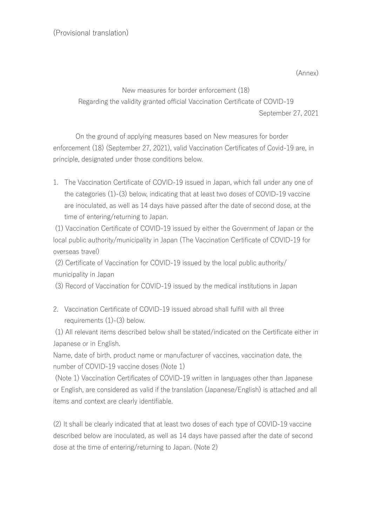(Annex)

New measures for border enforcement (18) Regarding the validity granted official Vaccination Certificate of COVID-19 September 27, 2021

On the ground of applying measures based on New measures for border enforcement (18) (September 27, 2021), valid Vaccination Certificates of Covid-19 are, in principle, designated under those conditions below.

1. The Vaccination Certificate of COVID-19 issued in Japan, which fall under any one of the categories (1)-(3) below, indicating that at least two doses of COVID-19 vaccine are inoculated, as well as 14 days have passed after the date of second dose, at the time of entering/returning to Japan.

(1) Vaccination Certificate of COVID-19 issued by either the Government of Japan or the local public authority/municipality in Japan (The Vaccination Certificate of COVID-19 for overseas travel)

(2) Certificate of Vaccination for COVID-19 issued by the local public authority/ municipality in Japan

(3) Record of Vaccination for COVID-19 issued by the medical institutions in Japan

2. Vaccination Certificate of COVID-19 issued abroad shall fulfill with all three requirements (1)-(3) below.

(1) All relevant items described below shall be stated/indicated on the Certificate either in Japanese or in English.

Name, date of birth, product name or manufacturer of vaccines, vaccination date, the number of COVID-19 vaccine doses (Note 1)

(Note 1) Vaccination Certificates of COVID-19 written in languages other than Japanese or English, are considered as valid if the translation (Japanese/English) is attached and all items and context are clearly identifiable.

(2) It shall be clearly indicated that at least two doses of each type of COVID-19 vaccine described below are inoculated, as well as 14 days have passed after the date of second dose at the time of entering/returning to Japan. (Note 2)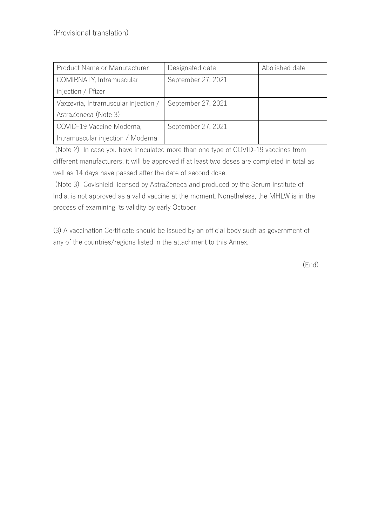| Product Name or Manufacturer         | Designated date    | Abolished date |
|--------------------------------------|--------------------|----------------|
| COMIRNATY, Intramuscular             | September 27, 2021 |                |
| injection / Pfizer                   |                    |                |
| Vaxzevria, Intramuscular injection / | September 27, 2021 |                |
| AstraZeneca (Note 3)                 |                    |                |
| COVID-19 Vaccine Moderna,            | September 27, 2021 |                |
| Intramuscular injection / Moderna    |                    |                |

(Note 2) In case you have inoculated more than one type of COVID-19 vaccines from different manufacturers, it will be approved if at least two doses are completed in total as well as 14 days have passed after the date of second dose.

(Note 3) Covishield licensed by AstraZeneca and produced by the Serum Institute of India, is not approved as a valid vaccine at the moment. Nonetheless, the MHLW is in the process of examining its validity by early October.

(3) A vaccination Certificate should be issued by an official body such as government of any of the countries/regions listed in the attachment to this Annex.

(End)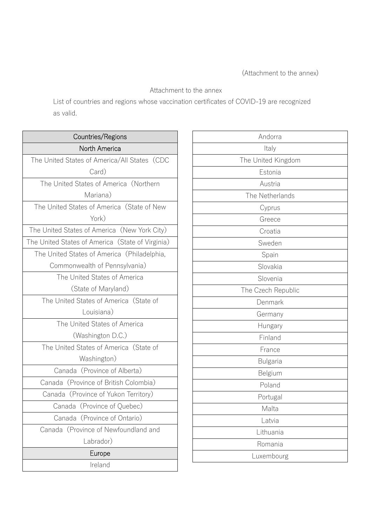## Attachment to the annex

List of countries and regions whose vaccination certificates of COVID-19 are recognized as valid.

| Countries/Regions                                |  |  |
|--------------------------------------------------|--|--|
| North America                                    |  |  |
| The United States of America/All States (CDC     |  |  |
| Card)                                            |  |  |
| The United States of America (Northern           |  |  |
| Mariana)                                         |  |  |
| The United States of America (State of New       |  |  |
| York)                                            |  |  |
| The United States of America (New York City)     |  |  |
| The United States of America (State of Virginia) |  |  |
| The United States of America (Philadelphia,      |  |  |
| Commonwealth of Pennsylvania)                    |  |  |
| The United States of America                     |  |  |
| (State of Maryland)                              |  |  |
| The United States of America (State of           |  |  |
| Louisiana)                                       |  |  |
| The United States of America                     |  |  |
| (Washington D.C.)                                |  |  |
| The United States of America (State of           |  |  |
| Washington)                                      |  |  |
| Canada (Province of Alberta)                     |  |  |
| Canada (Province of British Colombia)            |  |  |
| Canada (Province of Yukon Territory)             |  |  |
| Canada (Province of Quebec)                      |  |  |
| Canada (Province of Ontario)                     |  |  |
| Canada (Province of Newfoundland and             |  |  |
| Labrador)                                        |  |  |
| Europe                                           |  |  |
| Ireland                                          |  |  |

| Andorra            |
|--------------------|
| Italy              |
| The United Kingdom |
| Estonia            |
| Austria            |
| The Netherlands    |
| Cyprus             |
| Greece             |
| Croatia            |
| Sweden             |
| Spain              |
| Slovakia           |
| Slovenia           |
| The Czech Republic |
| Denmark            |
| Germany            |
| Hungary            |
| Finland            |
| France             |
| <b>Bulgaria</b>    |
| Belgium            |
| Poland             |
| Portugal           |
| Malta              |
| Latvia             |
| Lithuania          |
| Romania            |
| Luxembourg         |